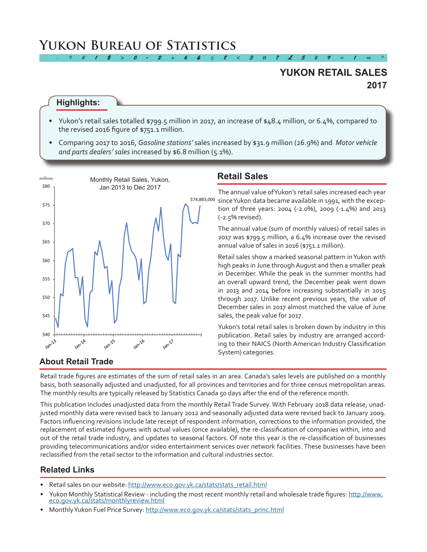# **Yukon Bureau of Statistics**

# **2017 YUKON RETAIL SALES**

#### **Highlights:**

• Yukon's retail sales totalled \$799.5 million in 2017, an increase of \$48.4 million, or 6.4%, compared to the revised 2016 figure of \$751.1 million.

*2 ÷ 9 # 1 \$ > 0 - 2 + 6 & ± 8 < 3 π 7 £ 5 ‡ 9 ≈ 1 ∞ ^*

• Comparing 2017 to 2016, *Gasoline stations'* sales increased by \$31.9 million (26.9%) and *Motor vehicle and parts dealers' sales* increased by \$6.8 million (5.1%).



## **Retail Sales**

\$74,883,000 sinceYukon data became available in 1991, with the excep-The annual value ofYukon's retail sales increased each year tion of three years: 2004 (-2.0%), 2009 (-1.4%) and 2013 (-2.5% revised).

> The annual value (sum of monthly values) of retail sales in 2017 was \$799.5 million, a 6.4% increase over the revised annual value of sales in 2016 (\$751.1 million).

> Retail sales show a marked seasonal pattern inYukon with high peaks in June through August and then a smaller peak in December. While the peak in the summer months had an overall upward trend, the December peak went down in 2013 and 2014 before increasing substantially in 2015 through 2017. Unlike recent previous years, the value of December sales in 2017 almost matched the value of June sales, the peak value for 2017.

> Yukon's total retail sales is broken down by industry in this publication. Retail sales by industry are arranged according to their NAICS (North American Industry Classification System) categories.

#### **About Retail Trade**

Retail trade figures are estimates of the sum of retail sales in an area. Canada's sales levels are published on a monthly basis, both seasonally adjusted and unadjusted, for all provinces and territories and for three census metropolitan areas. The monthly results are typically released by Statistics Canada 50 days after the end of the reference month.

This publication includes unadjusted data from the monthly Retail Trade Survey. With February 2018 data release, unadjusted monthly data were revised back to January 2012 and seasonally adjusted data were revised back to January 2009. Factors influencing revisions include late receipt of respondent information, corrections to the information provided, the replacement of estimated figures with actual values (once available), the re-classification of companies within, into and out of the retail trade industry, and updates to seasonal factors. Of note this year is the re-classification of businesses providing telecommunications and/or video entertainment services over network facilities. These businesses have been reclassified from the retail sector to the information and cultural industries sector.

#### **Related Links**

- Retail sales on our website: [http://www.eco.gov.yk.ca/stats/stats\\_retail.html](http://www.eco.gov.yk.ca/stats/stats_retail.html)
- Yukon Monthly Statistical Review including the most recent monthly retail and wholesale trade figures: [http://www.](http://www.eco.gov.yk.ca/stats/monthlyreview.html) [eco.gov.yk.ca/stats/monthlyreview.html](http://www.eco.gov.yk.ca/stats/monthlyreview.html)
- Monthly Yukon Fuel Price Survey: [http://www.eco.gov.yk.ca/stats/stats\\_princ.html](http://www.eco.gov.yk.ca/stats/stats_princ.html)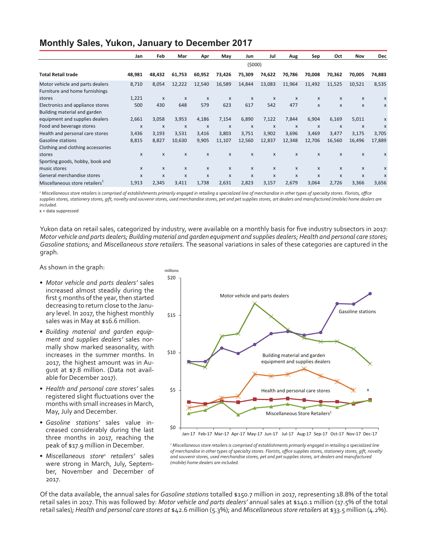## **Monthly Sales, Yukon, January to December 2017**

|                                                                   | Jan    | Feb                       | Mar                       | Apr                       | May              | Jun                       | Jul                       | Aug                       | Sep          | Oct                       | Nov              | <b>Dec</b>                |
|-------------------------------------------------------------------|--------|---------------------------|---------------------------|---------------------------|------------------|---------------------------|---------------------------|---------------------------|--------------|---------------------------|------------------|---------------------------|
|                                                                   |        |                           |                           |                           |                  | (5000)                    |                           |                           |              |                           |                  |                           |
| <b>Total Retail trade</b>                                         | 48,981 | 48,432                    | 61,753                    | 60,952                    | 73,426           | 75,309                    | 74,622                    | 70,786                    | 70,008       | 70,362                    | 70,005           | 74,883                    |
| Motor vehicle and parts dealers<br>Furniture and home furnishings | 8,710  | 8,054                     | 12,222                    | 12,540                    | 16,589           | 14,844                    | 13,083                    | 11,964                    | 11,492       | 11,525                    | 10,521           | 8,535                     |
| stores                                                            | 1,221  | $\boldsymbol{\mathsf{x}}$ | X                         | $\boldsymbol{\mathsf{x}}$ | $\boldsymbol{x}$ | $\boldsymbol{\mathsf{x}}$ | $\boldsymbol{\mathsf{x}}$ | $\boldsymbol{\mathsf{x}}$ | $\mathsf{x}$ | $\boldsymbol{\mathsf{x}}$ | $\mathsf{x}$     | X                         |
| Electronics and appliance stores<br>Building material and garden  | 500    | 430                       | 648                       | 579                       | 623              | 617                       | 542                       | 477                       | $\mathsf{x}$ | $\boldsymbol{\mathsf{x}}$ | $\mathsf{x}$     | X                         |
| equipment and supplies dealers                                    | 2,661  | 3,058                     | 3,953                     | 4,186                     | 7,154            | 6,890                     | 7,122                     | 7,844                     | 6,904        | 6,169                     | 5,011            | X                         |
| Food and beverage stores                                          | X      | $\boldsymbol{\mathsf{x}}$ | $\boldsymbol{\mathsf{x}}$ | X                         | $\mathsf{x}$     | $\boldsymbol{\mathsf{x}}$ | X                         | X                         | $\mathsf{x}$ | $\boldsymbol{\mathsf{x}}$ | $\boldsymbol{x}$ | $\boldsymbol{\mathsf{x}}$ |
| Health and personal care stores                                   | 3,436  | 3,193                     | 3,531                     | 3,416                     | 3,803            | 3,751                     | 3,902                     | 3,696                     | 3,469        | 3,477                     | 3,175            | 3,705                     |
| <b>Gasoline stations</b>                                          | 8,815  | 8,827                     | 10,630                    | 9,905                     | 11,107           | 12,560                    | 12,837                    | 12,348                    | 12,706       | 16,560                    | 16,496           | 17,889                    |
| Clothing and clothing accessories                                 |        |                           |                           |                           |                  |                           |                           |                           |              |                           |                  |                           |
| stores                                                            | X      | X                         | X                         | X                         | $\mathsf{x}$     | $\boldsymbol{\mathsf{x}}$ | X                         | X                         | $\mathsf{x}$ | $\boldsymbol{\mathsf{x}}$ | $\mathsf{x}$     | X                         |
| Sporting goods, hobby, book and                                   |        |                           |                           |                           |                  |                           |                           |                           |              |                           |                  |                           |
| music stores                                                      | X      | $\mathsf{x}$              | X                         | X                         | $\mathsf{x}$     | $\boldsymbol{\mathsf{x}}$ | $\mathsf{x}$              | $\mathsf{x}$              | $\mathsf{x}$ | $\boldsymbol{\mathsf{x}}$ | $\mathsf{x}$     | X                         |
| General merchandise stores                                        | X      | X                         | X                         | X                         | $\mathsf{x}$     | $\boldsymbol{\mathsf{x}}$ | X                         | X                         | $\mathsf{x}$ | $\boldsymbol{\mathsf{x}}$ | $\mathsf{x}$     | $\boldsymbol{\mathsf{x}}$ |
| Miscellaneous store retailers <sup>1</sup>                        | 1,913  | 2,345                     | 3,411                     | 1,738                     | 2,631            | 2,823                     | 3,157                     | 2,679                     | 3,064        | 2,726                     | 3,366            | 3,656                     |

<sup>2</sup> Miscellaneous store retailers is comprised of establishments primarily engaged in retailing a specialized line of merchandise in other types of specialty stores. Florists, office *supplies stores, stationery stores, gift, novelty and souvenir stores, used merchandise stores, pet and pet supplies stores, art dealers and manufactured (mobile) home dealers are included.* 

x = data suppressed

Yukon data on retail sales, categorized by industry, were available on a monthly basis for five industry subsectors in 2017: *Motor vehicle and parts dealers; Building material and garden equipment and supplies dealers; Health and personal care stores; Gasoline stations;* and *Miscellaneous store retailers.* The seasonal variations in sales of these categories are captured in the graph.

As shown in the graph:

- *• Motor vehicle and parts dealers'* sales increased almost steadily during the first 5 months of the year, then started decreasing to return close to the January level. In 2017, the highest monthly sales was in May at \$16.6 million.
- *• Building material and garden equipment and supplies dealers'* sales normally show marked seasonality, with increases in the summer months. In 2017, the highest amount was in August at \$7.8 million. (Data not available for December 2017).
- *• Health and personal care stores'* sales registered slight fluctuations over the months with small increases in March, May,July and December.
- *• Gasoline stations'* sales value increased considerably during the last three months in 2017, reaching the peak of \$17.9 million in December.
- Miscellaneous store<sup>1</sup> retailers' sales were strong in March, July, September, November and December of 2017.



*<sup>1</sup> Miscellaneous store retailers is comprised of establishments primarily engaged in retailing a specialized line of merchandise in other types of specialty stores. Florists, office supplies stores, stationery stores, gift, novelty and souvenir stores, used merchandise stores, pet and pet supplies stores, art dealers and manufactured (mobile) home dealers are included.*

Of the data available, the annual sales for *Gasoline stations* totalled \$150.7 million in 2017, representing 18.8% of the total retail sales in 2017. This was followed by: *Motor vehicle and parts dealers'* annual sales at \$140.1 million (17.5% of the total retail sales)*; Health and personal care stores at* \$42.6 million (5.3%); and *Miscellaneous store retailers* at \$33.5 million (4.2%).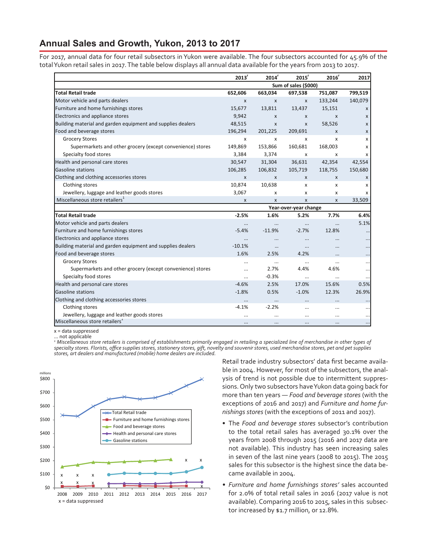#### **Annual Sales and Growth, Yukon, 2013 to 2017**

For 2017, annual data for four retail subsectors in Yukon were available. The four subsectors accounted for 45.9% of the totalYukon retail sales in 2017.The table below displays all annual data available for the years from 2013 to 2017.

|                                                             | $2013$ <sup>r</sup> | 2014 <sup>r</sup> | 2015 <sup>r</sup>     | 2016'        | 2017               |
|-------------------------------------------------------------|---------------------|-------------------|-----------------------|--------------|--------------------|
|                                                             |                     |                   | Sum of sales (\$000)  |              |                    |
| <b>Total Retail trade</b>                                   | 652,606             | 663,034           | 697,538               | 751,087      | 799,519            |
| Motor vehicle and parts dealers                             | $\mathsf{x}$        | $\mathsf{x}$      | $\mathsf{x}$          | 133,244      | 140,079            |
| Furniture and home furnishings stores                       | 15,677              | 13,811            | 13,437                | 15,151       | X                  |
| Electronics and appliance stores                            | 9,942               | $\mathsf{x}$      | X                     | $\mathsf{x}$ | X                  |
| Building material and garden equipment and supplies dealers | 48,515              | $\mathsf{x}$      | $\mathsf{x}$          | 58,526       | X                  |
| Food and beverage stores                                    | 196,294             | 201,225           | 209,691               | X            | $\pmb{\mathsf{X}}$ |
| <b>Grocery Stores</b>                                       | x                   | x                 | x                     | x            | x                  |
| Supermarkets and other grocery (except convenience) stores  | 149,869             | 153,866           | 160,681               | 168,003      | x                  |
| Specialty food stores                                       | 3,384               | 3,374             | $\mathsf{x}$          | x            | X                  |
| Health and personal care stores                             | 30,547              | 31,304            | 36,631                | 42,354       | 42,554             |
| <b>Gasoline stations</b>                                    | 106,285             | 106,832           | 105,719               | 118,755      | 150,680            |
| Clothing and clothing accessories stores                    | $\mathsf{x}$        | X                 | $\mathsf{x}$          | X            | X                  |
| Clothing stores                                             | 10,874              | 10,638            | X                     | x            | x                  |
| Jewellery, luggage and leather goods stores                 | 3,067               | x                 | X                     | x            | x                  |
| Miscellaneous store retailers <sup>1</sup>                  | X                   | X                 | $\mathsf{x}$          | X            | 33,509             |
|                                                             |                     |                   | Year-over-year change |              |                    |
| <b>Total Retail trade</b>                                   | $-2.5%$             | 1.6%              | 5.2%                  | 7.7%         | 6.4%               |
| Motor vehicle and parts dealers                             | $\cdots$            | $\cdots$          | $\cdots$              |              | 5.1%               |
| Furniture and home furnishings stores                       | $-5.4%$             | $-11.9%$          | $-2.7%$               | 12.8%        | $\cdots$           |
| Electronics and appliance stores                            | $\ldots$            | $\cdots$          | $\cdots$              | $\cdots$     |                    |
| Building material and garden equipment and supplies dealers | $-10.1%$            | $\cdots$          | $\cdots$              | $\cdots$     |                    |
| Food and beverage stores                                    | 1.6%                | 2.5%              | 4.2%                  | $\cdots$     |                    |
| <b>Grocery Stores</b>                                       | $\cdots$            | $\cdots$          | $\cdots$              | $\cdots$     |                    |
| Supermarkets and other grocery (except convenience) stores  | $\cdots$            | 2.7%              | 4.4%                  | 4.6%         |                    |
| Specialty food stores                                       | $\cdots$            | $-0.3%$           | $\cdots$              | $\cdots$     | $\ddotsc$          |
| Health and personal care stores                             | $-4.6%$             | 2.5%              | 17.0%                 | 15.6%        | 0.5%               |
| Gasoline stations                                           | $-1.8%$             | 0.5%              | $-1.0%$               | 12.3%        | 26.9%              |
| Clothing and clothing accessories stores                    |                     | $\cdots$          |                       | $\cdots$     |                    |
| Clothing stores                                             | $-4.1%$             | $-2.2%$           | $\cdots$              | $\cdots$     |                    |
| Jewellery, luggage and leather goods stores                 |                     | $\cdots$          |                       | $\cdots$     |                    |
| Miscellaneous store retailers <sup>1</sup>                  | $\cdots$            | $\ddotsc$         |                       |              | $\cdots$           |

x = data suppressed

. not applicable

*1 Miscellaneous store retailers is comprised of establishments primarily engaged in retailing a specialized line of merchandise in other types of specialty stores. Florists, office supplies stores, stationery stores, gift, novelty and souvenir stores, used merchandise stores, pet and pet supplies stores, art dealers and manufactured (mobile) home dealers are included.*



Retail trade industry subsectors' data first became available in 2004. However, for most of the subsectors, the analysis of trend is not possible due to intermittent suppressions. Only two subsectors haveYukon data going back for more than ten years — *Food and beverage stores* (with the exceptions of 2016 and 2017) and *Furniture and home furnishings stores* (with the exceptions of 2011 and 2017).

- • The *Food and beverage stores* subsector's contribution to the total retail sales has averaged 30.1% over the years from 2008 through 2015 (2016 and 2017 data are not available). This industry has seen increasing sales in seven of the last nine years (2008 to 2015). The 2015 sales for this subsector is the highest since the data became available in 2004.
- *• Furniture and home furnishings stores'* sales accounted for 2.0% of total retail sales in 2016 (2017 value is not available).Comparing 2016 to 2015, sales in this subsector increased by \$1.7 million, or 12.8%.